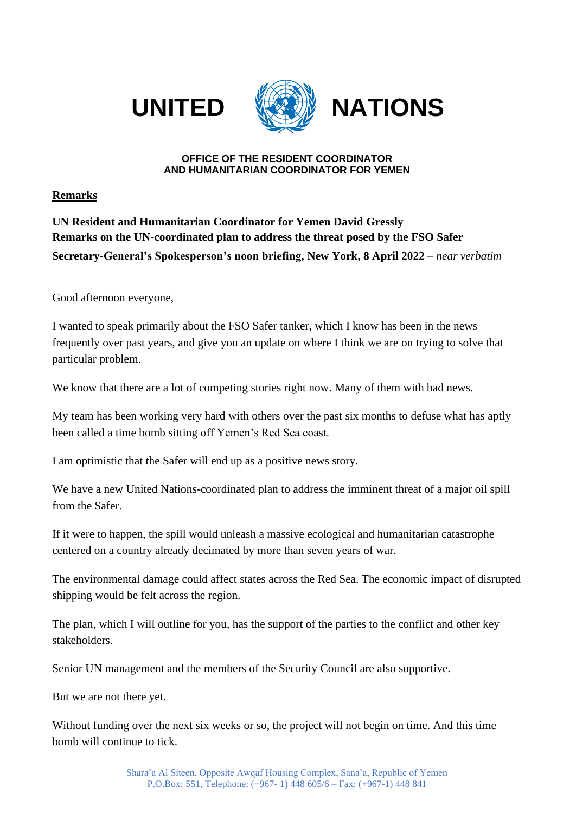



## **UNITED WATIONS**

## **OFFICE OF THE RESIDENT COORDINATOR AND HUMANITARIAN COORDINATOR FOR YEMEN**

**Remarks**

**UN Resident and Humanitarian Coordinator for Yemen David Gressly Remarks on the UN-coordinated plan to address the threat posed by the FSO Safer Secretary-General's Spokesperson's noon briefing, New York, 8 April 2022 –** *near verbatim*

Good afternoon everyone,

I wanted to speak primarily about the FSO Safer tanker, which I know has been in the news frequently over past years, and give you an update on where I think we are on trying to solve that particular problem.

We know that there are a lot of competing stories right now. Many of them with bad news.

My team has been working very hard with others over the past six months to defuse what has aptly been called a time bomb sitting off Yemen's Red Sea coast.

I am optimistic that the Safer will end up as a positive news story.

We have a new United Nations-coordinated plan to address the imminent threat of a major oil spill from the Safer.

If it were to happen, the spill would unleash a massive ecological and humanitarian catastrophe centered on a country already decimated by more than seven years of war.

The environmental damage could affect states across the Red Sea. The economic impact of disrupted shipping would be felt across the region.

The plan, which I will outline for you, has the support of the parties to the conflict and other key stakeholders.

Senior UN management and the members of the Security Council are also supportive.

But we are not there yet.

Without funding over the next six weeks or so, the project will not begin on time. And this time bomb will continue to tick.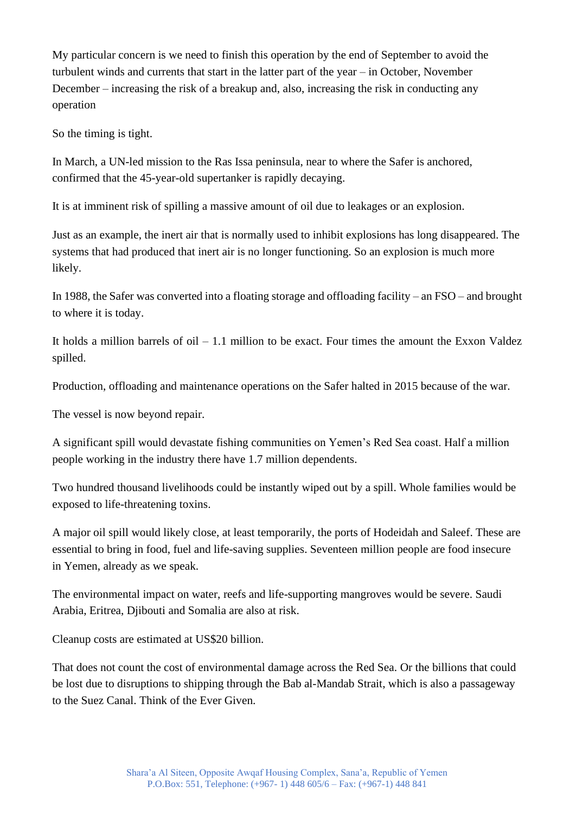My particular concern is we need to finish this operation by the end of September to avoid the turbulent winds and currents that start in the latter part of the year – in October, November December – increasing the risk of a breakup and, also, increasing the risk in conducting any operation

So the timing is tight.

In March, a UN-led mission to the Ras Issa peninsula, near to where the Safer is anchored, confirmed that the 45-year-old supertanker is rapidly decaying.

It is at imminent risk of spilling a massive amount of oil due to leakages or an explosion.

Just as an example, the inert air that is normally used to inhibit explosions has long disappeared. The systems that had produced that inert air is no longer functioning. So an explosion is much more likely.

In 1988, the Safer was converted into a floating storage and offloading facility – an FSO – and brought to where it is today.

It holds a million barrels of oil  $-1.1$  million to be exact. Four times the amount the Exxon Valdez spilled.

Production, offloading and maintenance operations on the Safer halted in 2015 because of the war.

The vessel is now beyond repair.

A significant spill would devastate fishing communities on Yemen's Red Sea coast. Half a million people working in the industry there have 1.7 million dependents.

Two hundred thousand livelihoods could be instantly wiped out by a spill. Whole families would be exposed to life-threatening toxins.

A major oil spill would likely close, at least temporarily, the ports of Hodeidah and Saleef. These are essential to bring in food, fuel and life-saving supplies. Seventeen million people are food insecure in Yemen, already as we speak.

The environmental impact on water, reefs and life-supporting mangroves would be severe. Saudi Arabia, Eritrea, Djibouti and Somalia are also at risk.

Cleanup costs are estimated at US\$20 billion.

That does not count the cost of environmental damage across the Red Sea. Or the billions that could be lost due to disruptions to shipping through the Bab al-Mandab Strait, which is also a passageway to the Suez Canal. Think of the Ever Given.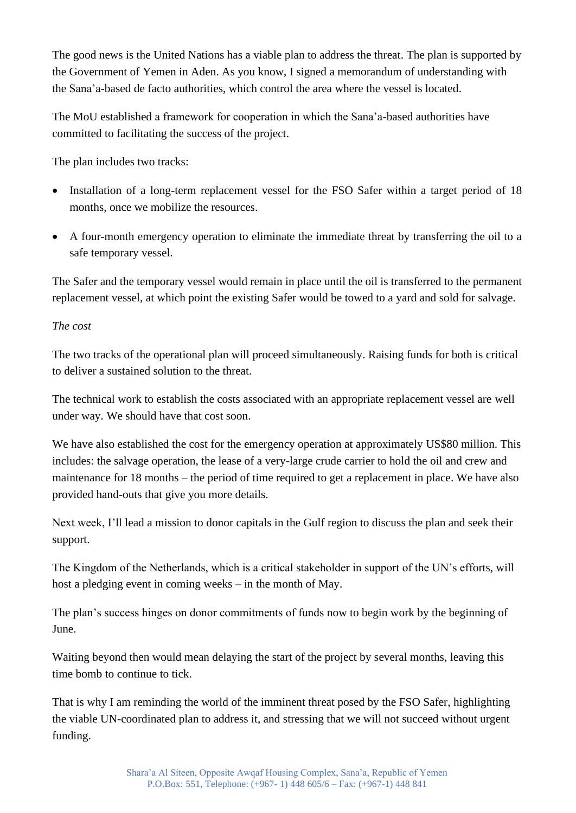The good news is the United Nations has a viable plan to address the threat. The plan is supported by the Government of Yemen in Aden. As you know, I signed a memorandum of understanding with the Sana'a-based de facto authorities, which control the area where the vessel is located.

The MoU established a framework for cooperation in which the Sana'a-based authorities have committed to facilitating the success of the project.

The plan includes two tracks:

- Installation of a long-term replacement vessel for the FSO Safer within a target period of 18 months, once we mobilize the resources.
- A four-month emergency operation to eliminate the immediate threat by transferring the oil to a safe temporary vessel.

The Safer and the temporary vessel would remain in place until the oil is transferred to the permanent replacement vessel, at which point the existing Safer would be towed to a yard and sold for salvage.

## *The cost*

The two tracks of the operational plan will proceed simultaneously. Raising funds for both is critical to deliver a sustained solution to the threat.

The technical work to establish the costs associated with an appropriate replacement vessel are well under way. We should have that cost soon.

We have also established the cost for the emergency operation at approximately US\$80 million. This includes: the salvage operation, the lease of a very-large crude carrier to hold the oil and crew and maintenance for 18 months – the period of time required to get a replacement in place. We have also provided hand-outs that give you more details.

Next week, I'll lead a mission to donor capitals in the Gulf region to discuss the plan and seek their support.

The Kingdom of the Netherlands, which is a critical stakeholder in support of the UN's efforts, will host a pledging event in coming weeks – in the month of May.

The plan's success hinges on donor commitments of funds now to begin work by the beginning of June.

Waiting beyond then would mean delaying the start of the project by several months, leaving this time bomb to continue to tick.

That is why I am reminding the world of the imminent threat posed by the FSO Safer, highlighting the viable UN-coordinated plan to address it, and stressing that we will not succeed without urgent funding.